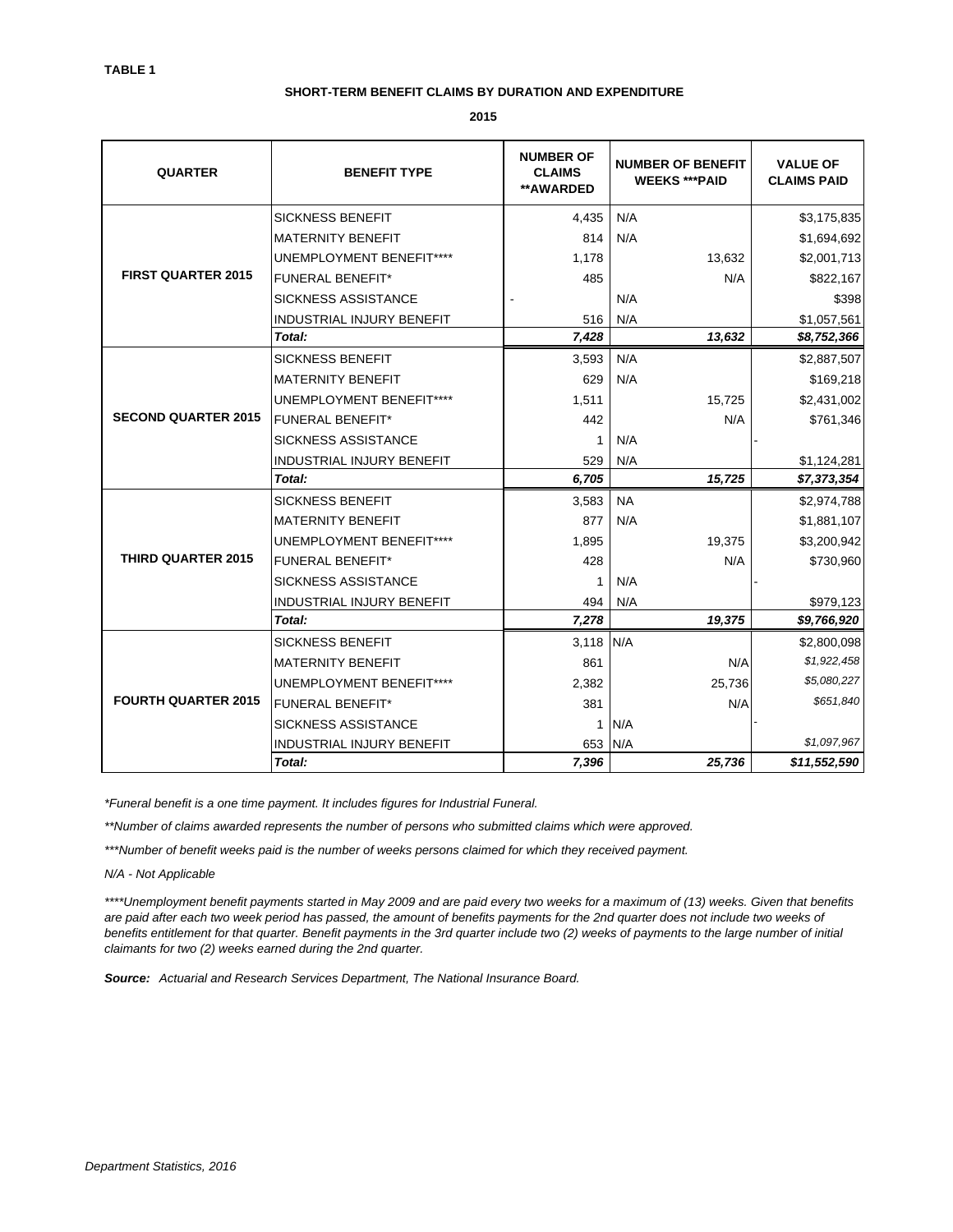## **SHORT-TERM BENEFIT CLAIMS BY DURATION AND EXPENDITURE**

**2015**

| <b>QUARTER</b>             | <b>BENEFIT TYPE</b>              | <b>NUMBER OF</b><br><b>CLAIMS</b><br>**AWARDED | <b>NUMBER OF BENEFIT</b><br><b>WEEKS *** PAID</b> | <b>VALUE OF</b><br><b>CLAIMS PAID</b> |
|----------------------------|----------------------------------|------------------------------------------------|---------------------------------------------------|---------------------------------------|
| <b>FIRST QUARTER 2015</b>  | <b>SICKNESS BENEFIT</b>          | 4,435                                          | N/A                                               | \$3,175,835                           |
|                            | <b>MATERNITY BENEFIT</b>         | 814                                            | N/A                                               | \$1,694,692                           |
|                            | <b>UNEMPLOYMENT BENEFIT****</b>  | 1,178                                          | 13,632                                            | \$2,001,713                           |
|                            | <b>FUNERAL BENEFIT*</b>          | 485                                            | N/A                                               | \$822,167                             |
|                            | <b>SICKNESS ASSISTANCE</b>       |                                                | N/A                                               | \$398                                 |
|                            | INDUSTRIAL INJURY BENEFIT        | 516                                            | N/A                                               | \$1,057,561                           |
|                            | Total:                           | 7,428                                          | 13,632                                            | \$8,752,366                           |
|                            | <b>SICKNESS BENEFIT</b>          | 3,593                                          | N/A                                               | \$2,887,507                           |
| <b>SECOND QUARTER 2015</b> | <b>MATERNITY BENEFIT</b>         | 629                                            | N/A                                               | \$169,218                             |
|                            | <b>UNEMPLOYMENT BENEFIT****</b>  | 1,511                                          | 15,725                                            | \$2,431,002                           |
|                            | <b>FUNERAL BENEFIT*</b>          | 442                                            | N/A                                               | \$761,346                             |
|                            | SICKNESS ASSISTANCE              | 1                                              | N/A                                               |                                       |
|                            | INDUSTRIAL INJURY BENEFIT        | 529                                            | N/A                                               | \$1,124,281                           |
|                            | Total:                           | 6,705                                          | 15,725                                            | \$7,373,354                           |
| <b>THIRD QUARTER 2015</b>  | <b>SICKNESS BENEFIT</b>          | 3.583                                          | <b>NA</b>                                         | \$2,974,788                           |
|                            | <b>MATERNITY BENEFIT</b>         | 877                                            | N/A                                               | \$1,881,107                           |
|                            | <b>UNEMPLOYMENT BENEFIT****</b>  | 1,895                                          | 19,375                                            | \$3,200,942                           |
|                            | <b>FUNERAL BENEFIT*</b>          | 428                                            | N/A                                               | \$730,960                             |
|                            | <b>SICKNESS ASSISTANCE</b>       |                                                | N/A                                               |                                       |
|                            | INDUSTRIAL INJURY BENEFIT        | 494                                            | N/A                                               | \$979,123                             |
|                            | Total:                           | 7,278                                          | 19,375                                            | \$9,766,920                           |
| <b>FOURTH QUARTER 2015</b> | <b>SICKNESS BENEFIT</b>          | 3,118                                          | N/A                                               | \$2,800,098                           |
|                            | <b>MATERNITY BENEFIT</b>         | 861                                            | N/A                                               | \$1,922,458                           |
|                            | <b>UNEMPLOYMENT BENEFIT****</b>  | 2,382                                          | 25,736                                            | \$5,080,227                           |
|                            | <b>FUNERAL BENEFIT*</b>          | 381                                            | N/A                                               | \$651,840                             |
|                            | <b>SICKNESS ASSISTANCE</b>       | 1                                              | N/A                                               |                                       |
|                            | <b>INDUSTRIAL INJURY BENEFIT</b> | 653                                            | N/A                                               | \$1,097,967                           |
|                            | Total:                           | 7,396                                          | 25.736                                            | \$11,552,590                          |

*\*Funeral benefit is a one time payment. It includes figures for Industrial Funeral.*

*\*\*Number of claims awarded represents the number of persons who submitted claims which were approved.*

*\*\*\*Number of benefit weeks paid is the number of weeks persons claimed for which they received payment.*

*N/A - Not Applicable*

*\*\*\*\*Unemployment benefit payments started in May 2009 and are paid every two weeks for a maximum of (13) weeks. Given that benefits are paid after each two week period has passed, the amount of benefits payments for the 2nd quarter does not include two weeks of benefits entitlement for that quarter. Benefit payments in the 3rd quarter include two (2) weeks of payments to the large number of initial claimants for two (2) weeks earned during the 2nd quarter.*

*Source: Actuarial and Research Services Department, The National Insurance Board.*